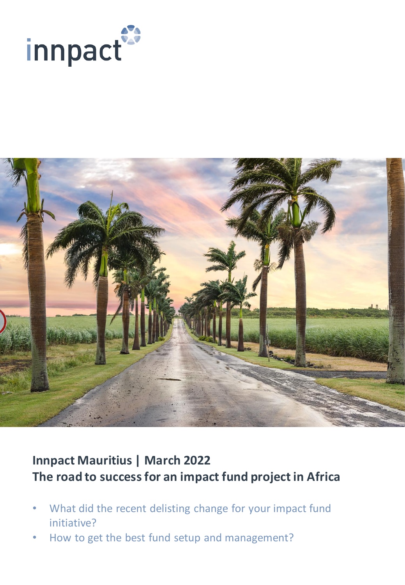



# **Innpact Mauritius | March 2022 The road to success for an impact fund project in Africa**

- What did the recent delisting change for your impact fund initiative?
- How to get the best fund setup and management?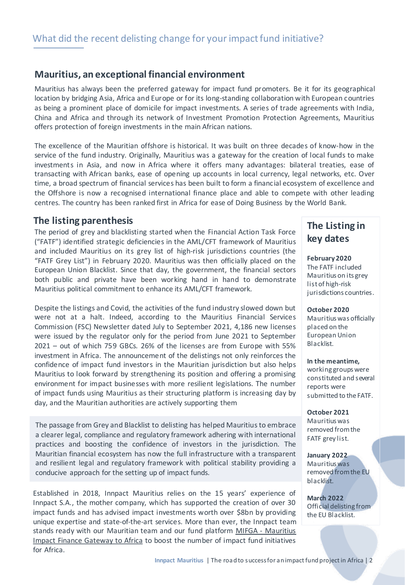### **Mauritius, an exceptional financial environment**

Mauritius has always been the preferred gateway for impact fund promoters. Be it for its geographical location by bridging Asia, Africa and Europe or for its long-standing collaboration with European countries as being a prominent place of domicile for impact investments. A series of trade agreements with India, China and Africa and through its network of Investment Promotion Protection Agreements, Mauritius offers protection of foreign investments in the main African nations.

The excellence of the Mauritian offshore is historical. It was built on three decades of know-how in the service of the fund industry. Originally, Mauritius was a gateway for the creation of local funds to make investments in Asia, and now in Africa where it offers many advantages: bilateral treaties, ease of transacting with African banks, ease of opening up accounts in local currency, legal networks, etc. Over time, a broad spectrum of financial services has been built to form a financial ecosystem of excellence and the Offshore is now a recognised international finance place and able to compete with other leading centres. The country has been ranked first in Africa for ease of Doing Business by the World Bank.

#### **The listing parenthesis**

The period of grey and blacklisting started when the Financial Action Task Force ("FATF") identified strategic deficiencies in the AML/CFT framework of Mauritius and included Mauritius on its grey list of high-risk jurisdictions countries (the "FATF Grey List") in February 2020. Mauritius was then officially placed on the European Union Blacklist. Since that day, the government, the financial sectors both public and private have been working hand in hand to demonstrate Mauritius political commitment to enhance its AML/CFT framework.

Despite the listings and Covid, the activities of the fund industry slowed down but were not at a halt. Indeed, according to the Mauritius Financial Services Commission (FSC) Newsletter dated July to September 2021, 4,186 new licenses were issued by the regulator only for the period from June 2021 to September 2021 – out of which 759 GBCs. 26% of the licenses are from Europe with 55% investment in Africa. The announcement of the delistings not only reinforces the confidence of impact fund investors in the Mauritian jurisdiction but also helps Mauritius to look forward by strengthening its position and offering a promising environment for impact businesses with more resilient legislations. The number of impact funds using Mauritius as their structuring platform is increasing day by day, and the Mauritian authorities are actively supporting them

The passage from Grey and Blacklist to delisting has helped Mauritiusto embrace a clearer legal, compliance and regulatory framework adhering with international practices and boosting the confidence of investors in the jurisdiction. The Mauritian financial ecosystem has now the full infrastructure with a transparent and resilient legal and regulatory framework with political stability providing a conducive approach for the setting up of impact funds.

Established in 2018, Innpact Mauritius relies on the 15 years' experience of Innpact S.A., the mother company, which has supported the creation of over 30 impact funds and has advised impact investments worth over \$8bn by providing unique expertise and state-of-the-art services. More than ever, the Innpact team stands ready with our Mauritian team and our fund platform MIFGA - Mauritius Impact Finance Gateway to Africa to boost the number of impact fund [initiatives](https://www.linkedin.com/company/mifga-mauritius-impact-finance-gateway-to-africa/) for Africa.

# **The Listing in key dates**

**February 2020**  The FATF included Mauritius on its grey list of high-risk jurisdictions countries.

**October 2020**  Mauritius was officially placed on the European Union Blacklist.

**In the meantime,**  working groups were constituted and several reports were submitted to the FATF.

**October 2021** Mauritius was removed from the FATF grey list.

**January 2022** Mauritius was removed from the EU blacklist.

**March 2022** Official delisting from the EU Blacklist.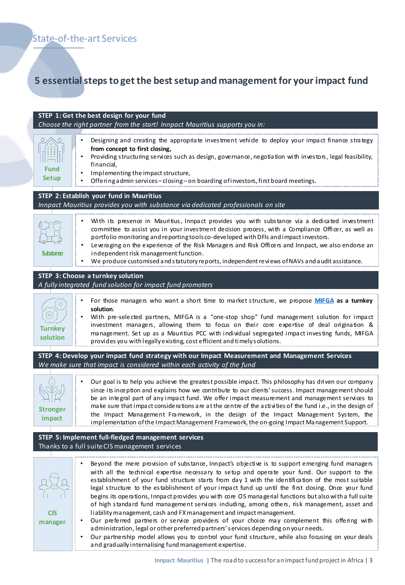# **5 essential steps to get the best setup and management for your impact fund**

| STEP 1: Get the best design for your fund<br>Choose the right partner from the start! Innpact Mauritius supports you in:      |                                                                                                                                                                                                                                                                                                                                                                                                                                                                                                                                                                                                                                                                                                                                                                                                    |
|-------------------------------------------------------------------------------------------------------------------------------|----------------------------------------------------------------------------------------------------------------------------------------------------------------------------------------------------------------------------------------------------------------------------------------------------------------------------------------------------------------------------------------------------------------------------------------------------------------------------------------------------------------------------------------------------------------------------------------------------------------------------------------------------------------------------------------------------------------------------------------------------------------------------------------------------|
| $\circ$<br>Fund<br><b>Setup</b>                                                                                               | Designing and creating the appropriate investment vehide to deploy your impact finance strategy<br>from concept to first closing,<br>Providing structuring services such as design, governance, negotiation with investors, legal feasibility,<br>financial,<br>Implementing the impact structure,<br>Offering admin services-closing-on boarding of investors, first board meetings.                                                                                                                                                                                                                                                                                                                                                                                                              |
| STEP 2: Establish your fund in Mauritius<br>Innpact Mauritius provides you with substance via dedicated professionals on site |                                                                                                                                                                                                                                                                                                                                                                                                                                                                                                                                                                                                                                                                                                                                                                                                    |
|                                                                                                                               |                                                                                                                                                                                                                                                                                                                                                                                                                                                                                                                                                                                                                                                                                                                                                                                                    |
| <b>Substance</b>                                                                                                              | With its presence in Mauritius, Innpact provides you with substance via a dedicated investment<br>committee to assist you in your investment decision process, with a Compliance Officer, as well as<br>portfolio monitoring and reporting tools co-developed with DFIs and impact investors.<br>Leveraging on the experience of the Risk Managers and Risk Officers and Innpact, we also endorse an<br>$\bullet$<br>independent risk management function.<br>We produce customised and statutory reports, independent reviews of NAVs and audit assistance.<br>٠                                                                                                                                                                                                                                  |
|                                                                                                                               |                                                                                                                                                                                                                                                                                                                                                                                                                                                                                                                                                                                                                                                                                                                                                                                                    |
| STEP 3: Choose a turnkey solution<br>A fully integrated fund solution for impact fund promoters                               |                                                                                                                                                                                                                                                                                                                                                                                                                                                                                                                                                                                                                                                                                                                                                                                                    |
|                                                                                                                               |                                                                                                                                                                                                                                                                                                                                                                                                                                                                                                                                                                                                                                                                                                                                                                                                    |
| <b>Turnkey</b><br>solution                                                                                                    | For those managers who want a short time to market structure, we propose MIFGA as a turnkey<br>solution.<br>With pre-selected partners, MIFGA is a "one-stop shop" fund management solution for impact<br>investment managers, allowing them to focus on their core expertise of deal origination &<br>management. Set up as a Mauritius PCC with individual segregated impact investing funds, MIFGA<br>provides you with legally existing, cost efficient and timely solutions.                                                                                                                                                                                                                                                                                                                  |
| STEP 4: Develop your impact fund strategy with our Impact Measurement and Management Services                                 |                                                                                                                                                                                                                                                                                                                                                                                                                                                                                                                                                                                                                                                                                                                                                                                                    |
| We make sure that impact is considered within each activity of the fund                                                       |                                                                                                                                                                                                                                                                                                                                                                                                                                                                                                                                                                                                                                                                                                                                                                                                    |
| <b>Stronger</b><br>impact                                                                                                     | Our goal is to help you achieve the greatest possible impact. This philosophy has driven our company<br>since its inception and explains how we contribute to our dients' success. Impact management should<br>be an integral part of any impact fund. We offer impact measurement and management services to<br>make sure that impact considerations are at the centre of the activities of the fund i.e., in the design of<br>the Impact Management Framework, in the design of the Impact Management System, the<br>implementation of the Impact Management Framework, the on-going Impact Management Support.                                                                                                                                                                                  |
|                                                                                                                               |                                                                                                                                                                                                                                                                                                                                                                                                                                                                                                                                                                                                                                                                                                                                                                                                    |
| STEP 5: Implement full-fledged management services<br>Thanks to a full suite CIS management services                          |                                                                                                                                                                                                                                                                                                                                                                                                                                                                                                                                                                                                                                                                                                                                                                                                    |
|                                                                                                                               |                                                                                                                                                                                                                                                                                                                                                                                                                                                                                                                                                                                                                                                                                                                                                                                                    |
| <b>CIS</b>                                                                                                                    | Beyond the mere provision of substance, Innpact's objective is to support emerging fund managers<br>with all the technical expertise necessary to setup and operate your fund. Our support to the<br>establishment of your fund structure starts from day 1 with the identification of the most suitable<br>legal structure to the establishment of your impact fund up until the first dosing. Once your fund<br>begins its operations, Innpact provides you with core CIS managerial functions but also with a full suite<br>of high standard fund management services induding, among others, risk management, asset and<br>liability management, cash and FX management and impact management.<br>Our preferred partners or service providers of your choice may complement this offering with |
| manager                                                                                                                       | administration, legal or other preferred partners' services depending on your needs.<br>مرتجعا المطارين والمدران لمدر                                                                                                                                                                                                                                                                                                                                                                                                                                                                                                                                                                                                                                                                              |

• Our partnership model allows you to control your fund structure, while also focusing on your deals and gradually internalising fund management expertise.